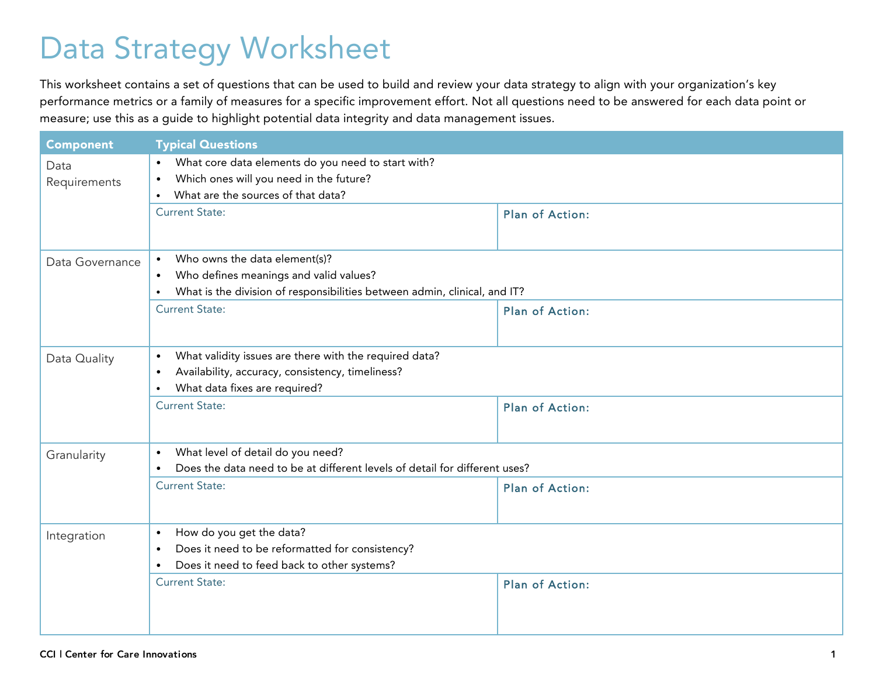## Data Strategy Worksheet

This worksheet contains a set of questions that can be used to build and review your data strategy to align with your organization's key performance metrics or a family of measures for a specific improvement effort. Not all questions need to be answered for each data point or measure; use this as a guide to highlight potential data integrity and data management issues.

| <b>Component</b> | <b>Typical Questions</b>                                                                                |                        |  |
|------------------|---------------------------------------------------------------------------------------------------------|------------------------|--|
| Data             | What core data elements do you need to start with?<br>$\bullet$                                         |                        |  |
| Requirements     | Which ones will you need in the future?<br>$\bullet$<br>What are the sources of that data?<br>$\bullet$ |                        |  |
|                  | <b>Current State:</b>                                                                                   |                        |  |
|                  |                                                                                                         | <b>Plan of Action:</b> |  |
|                  | Who owns the data element(s)?<br>$\bullet$                                                              |                        |  |
| Data Governance  | Who defines meanings and valid values?<br>$\bullet$                                                     |                        |  |
|                  | What is the division of responsibilities between admin, clinical, and IT?<br>$\bullet$                  |                        |  |
|                  | <b>Current State:</b>                                                                                   | <b>Plan of Action:</b> |  |
|                  |                                                                                                         |                        |  |
| Data Quality     | What validity issues are there with the required data?<br>$\bullet$                                     |                        |  |
|                  | Availability, accuracy, consistency, timeliness?<br>$\bullet$                                           |                        |  |
|                  | What data fixes are required?<br>$\bullet$                                                              |                        |  |
|                  | <b>Current State:</b>                                                                                   | Plan of Action:        |  |
|                  |                                                                                                         |                        |  |
| Granularity      | What level of detail do you need?<br>$\bullet$                                                          |                        |  |
|                  | Does the data need to be at different levels of detail for different uses?<br>$\bullet$                 |                        |  |
|                  | <b>Current State:</b>                                                                                   | Plan of Action:        |  |
|                  |                                                                                                         |                        |  |
| Integration      | How do you get the data?<br>$\bullet$                                                                   |                        |  |
|                  | Does it need to be reformatted for consistency?<br>$\bullet$                                            |                        |  |
|                  | Does it need to feed back to other systems?<br>$\bullet$<br><b>Current State:</b>                       |                        |  |
|                  |                                                                                                         | <b>Plan of Action:</b> |  |
|                  |                                                                                                         |                        |  |
|                  |                                                                                                         |                        |  |